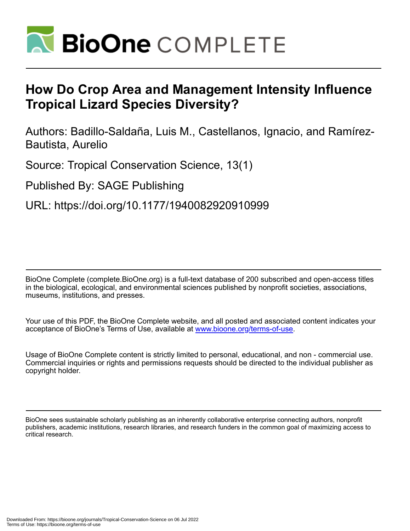

# **How Do Crop Area and Management Intensity Influence Tropical Lizard Species Diversity?**

Authors: Badillo-Saldaña, Luis M., Castellanos, Ignacio, and Ramírez-Bautista, Aurelio

Source: Tropical Conservation Science, 13(1)

Published By: SAGE Publishing

URL: https://doi.org/10.1177/1940082920910999

BioOne Complete (complete.BioOne.org) is a full-text database of 200 subscribed and open-access titles in the biological, ecological, and environmental sciences published by nonprofit societies, associations, museums, institutions, and presses.

Your use of this PDF, the BioOne Complete website, and all posted and associated content indicates your acceptance of BioOne's Terms of Use, available at www.bioone.org/terms-of-use.

Usage of BioOne Complete content is strictly limited to personal, educational, and non - commercial use. Commercial inquiries or rights and permissions requests should be directed to the individual publisher as copyright holder.

BioOne sees sustainable scholarly publishing as an inherently collaborative enterprise connecting authors, nonprofit publishers, academic institutions, research libraries, and research funders in the common goal of maximizing access to critical research.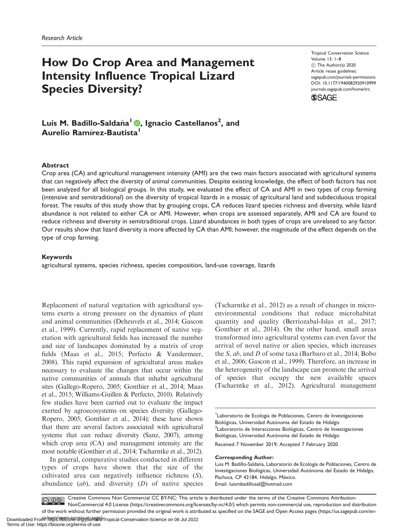## How Do Crop Area and Management Intensity Influence Tropical Lizard Species Diversity?

Tropical Conservation Science Volume 13: 1–8 C The Author(s) 2020 Article reuse guidelines: [sagepub.com/journals-permissions](http://us.sagepub.com/en-us/journals-permissions) [DOI: 10.1177/1940082920910999](http://dx.doi.org/10.1177/1940082920910999) <journals.sagepub.com/home/trc>



Luis M. Badillo-Saldaña<sup>l</sup> ®[,](https://orcid.org/0000-0002-0049-8713) Ignacio Castellanos<sup>2</sup>, and Aurelio Ramírez-Bautista<sup>l</sup>

#### **Abstract**

Crop area (CA) and agricultural management intensity (AMI) are the two main factors associated with agricultural systems that can negatively affect the diversity of animal communities. Despite existing knowledge, the effect of both factors has not been analyzed for all biological groups. In this study, we evaluated the effect of CA and AMI in two types of crop farming (intensive and semitraditional) on the diversity of tropical lizards in a mosaic of agricultural land and subdeciduous tropical forest. The results of this study show that by grouping crops, CA reduces lizard species richness and diversity, while lizard abundance is not related to either CA or AMI. However, when crops are assessed separately, AMI and CA are found to reduce richness and diversity in semitraditional crops. Lizard abundances in both types of crops are unrelated to any factor. Our results show that lizard diversity is more affected by CA than AMI; however, the magnitude of the effect depends on the type of crop farming.

#### Keywords

agricultural systems, species richness, species composition, land-use coverage, lizards

Replacement of natural vegetation with agricultural systems exerts a strong pressure on the dynamics of plant and animal communities (Deheuvels et al., 2014; Gascon et al., 1999). Currently, rapid replacement of native vegetation with agricultural fields has increased the number and size of landscapes dominated by a matrix of crop fields (Maas et al., 2015; Perfecto & Vandermeer, 2008). This rapid expansion of agricultural areas makes necessary to evaluate the changes that occur within the native communities of animals that inhabit agricultural sites (Gallego-Ropero, 2005; Gonthier et al., 2014; Maas et al., 2015; Williams-Guillen & Perfecto, 2010). Relatively few studies have been carried out to evaluate the impact exerted by agroecosystems on species diversity (Gallego-Ropero, 2005; Gonthier et al., 2014); these have shown that there are several factors associated with agricultural systems that can reduce diversity (Sanz, 2007), among which crop area (CA) and management intensity are the most notable (Gonthier et al., 2014; Tscharntke et al., 2012).

In general, comparative studies conducted in different types of crops have shown that the size of the cultivated area can negatively influence richness (S), abundance  $(ab)$ , and diversity  $(D)$  of native species (Tscharntke et al., 2012) as a result of changes in microenvironmental conditions that reduce microhabitat quantity and quality (Berriozabal-Islas et al., 2017; Gonthier et al., 2014). On the other hand, small areas transformed into agricultural systems can even favor the arrival of novel native or alien species, which increases the S, ab, and D of some taxa (Barbaro et al., 2014; Bobo et al., 2006; Gascon et al., 1999). Therefore, an increase in the heterogeneity of the landscape can promote the arrival of species that occupy the new available spaces (Tscharntke et al., 2012). Agricultural management

Laboratorio de Ecología de Poblaciones, Centro de Investigaciones Biológicas, Universidad Autónoma del Estado de Hidalgo <sup>2</sup> Laboratorio de Interacciones Biológicas, Centro de Investigaciones Biológicas, Universidad Autónoma del Estado de Hidalgo

Received 7 November 2019; Accepted 7 February 2020

#### Corresponding Author:

Luis M. Badillo-Saldaña, Laboratorio de Ecología de Poblaciones, Centro de Investigaciones Biológicas, Universidad Autónoma del Estado de Hidalgo, Pachuca, CP 42184, Hidalgo, México. Email: [luismbadillosal@hotmail.com](mailto:luismbadillosal@hotmail.com)

Creative Commons Non Commercial CC BY-NC: This article is distributed under the terms of the Creative Commons Attribution- $\bigcirc$   $\bigcirc$   $\bigcirc$ NonCommercial 4.0 License (https://creativecommons.org/licenses/by-nc/4.0/) which permits non-commercial use, reproduction and distribution of the work without further permission provided the original work is attributed as specified on the SAGE and Open Access pages (https://us.sagepub.com/en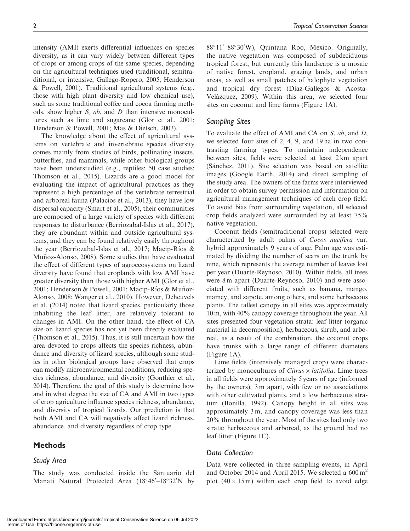intensity (AMI) exerts differential influences on species diversity, as it can vary widely between different types of crops or among crops of the same species, depending on the agricultural techniques used (traditional, semitraditional, or intensive; Gallego-Ropero, 2005; Henderson & Powell, 2001). Traditional agricultural systems (e.g., those with high plant diversity and low chemical use), such as some traditional coffee and cocoa farming methods, show higher S, ab, and D than intensive monocultures such as lime and sugarcane (Glor et al., 2001; Henderson & Powell, 2001; Mas & Dietsch, 2003).

The knowledge about the effect of agricultural systems on vertebrate and invertebrate species diversity comes mainly from studies of birds, pollinating insects, butterflies, and mammals, while other biological groups have been understudied (e.g., reptiles: 50 case studies; Thomson et al., 2015). Lizards are a good model for evaluating the impact of agricultural practices as they represent a high percentage of the vertebrate terrestrial and arboreal fauna (Palacios et al., 2013), they have low dispersal capacity (Smart et al., 2005), their communities are composed of a large variety of species with different responses to disturbance (Berriozabal-Islas et al., 2017), they are abundant within and outside agricultural systems, and they can be found relatively easily throughout the year (Berriozabal-Islas et al., 2017; Macip-Ríos & Muñoz-Alonso, 2008). Some studies that have evaluated the effect of different types of agroecosystems on lizard diversity have found that croplands with low AMI have greater diversity than those with higher AMI (Glor et al., 2001; Henderson & Powell, 2001; Macip-Ríos & Muñoz-Alonso, 2008; Wanger et al., 2010). However, Deheuvels et al. (2014) noted that lizard species, particularly those inhabiting the leaf litter, are relatively tolerant to changes in AMI. On the other hand, the effect of CA size on lizard species has not yet been directly evaluated (Thomson et al., 2015). Thus, it is still uncertain how the area devoted to crops affects the species richness, abundance and diversity of lizard species, although some studies in other biological groups have observed that crops can modify microenvironmental conditions, reducing species richness, abundance, and diversity (Gonthier et al., 2014). Therefore, the goal of this study is determine how and in what degree the size of CA and AMI in two types of crop agriculture influence species richness, abundance, and diversity of tropical lizards. Our prediction is that both AMI and CA will negatively affect lizard richness, abundance, and diversity regardless of crop type.

#### Methods

#### Study Area

The study was conducted inside the Santuario del Manatí Natural Protected Area (18°46'–18°32'N by

88°11′–88°30′W), Quintana Roo, Mexico. Originally, the native vegetation was composed of subdeciduous tropical forest, but currently this landscape is a mosaic of native forest, cropland, grazing lands, and urban areas, as well as small patches of halophyte vegetation and tropical dry forest (Díaz-Gallegos & Acosta-Velázquez, 2009). Within this area, we selected four sites on coconut and lime farms (Figure 1A).

#### Sampling Sites

To evaluate the effect of AMI and CA on S, ab, and D, we selected four sites of 2, 4, 9, and 19 ha in two contrasting farming types. To maintain independence between sites, fields were selected at least 2 km apart (Sánchez, 2011). Site selection was based on satellite images (Google Earth, 2014) and direct sampling of the study area. The owners of the farms were interviewed in order to obtain survey permission and information on agricultural management techniques of each crop field. To avoid bias from surrounding vegetation, all selected crop fields analyzed were surrounded by at least 75% native vegetation.

Coconut fields (semitraditional crops) selected were characterized by adult palms of Cocos nucifera var. hybrid approximately 9 years of age. Palm age was estimated by dividing the number of scars on the trunk by nine, which represents the average number of leaves lost per year (Duarte-Reynoso, 2010). Within fields, all trees were 8 m apart (Duarte-Reynoso, 2010) and were associated with different fruits, such as banana, mango, mamey, and zapote, among others, and some herbaceous plants. The tallest canopy in all sites was approximately 10 m, with 40% canopy coverage throughout the year. All sites presented four vegetation strata: leaf litter (organic material in decomposition), herbaceous, shrub, and arboreal, as a result of the combination, the coconut crops have trunks with a large range of different diameters (Figure 1A).

Lime fields (intensively managed crop) were characterized by monocultures of Citrus  $\times$  latifolia. Lime trees in all fields were approximately 5 years of age (informed by the owners), 3 m apart, with few or no associations with other cultivated plants, and a low herbaceous stratum (Bonilla, 1992). Canopy height in all sites was approximately 3 m, and canopy coverage was less than 20% throughout the year. Most of the sites had only two strata: herbaceous and arboreal, as the ground had no leaf litter (Figure 1C).

## Data Collection

Data were collected in three sampling events, in April and October 2014 and April 2015. We selected a  $600 \text{ m}^2$ plot  $(40 \times 15 \,\text{m})$  within each crop field to avoid edge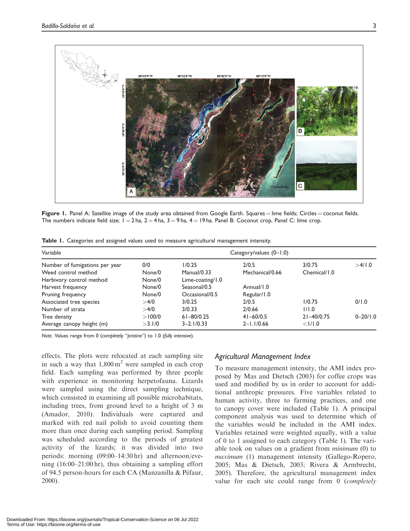

Figure 1. Panel A: Satellite image of the study area obtained from Google Earth. Squares = lime fields; Circles = coconut fields. The numbers indicate field size;  $1 = 2$  ha,  $2 = 4$  ha,  $3 = 9$  ha,  $4 = 19$  ha. Panel B: Coconut crop. Panel C: lime crop.

| Variable                       |        | Category/values $(0-1.0)$ |                 |                |              |  |
|--------------------------------|--------|---------------------------|-----------------|----------------|--------------|--|
| Number of fumigations per year | 0/0    | 1/0.25                    | 2/0.5           | 3/0.75         | >4/1.0       |  |
| Weed control method            | None/0 | Manual/0.33               | Mechanical/0.66 | Chemical/1.0   |              |  |
| Herbivory control method       | None/0 | Lime-coating/1.0          |                 |                |              |  |
| Harvest frequency              | None/0 | Seasonal/0.5              | Annual/1.0      |                |              |  |
| Pruning frequency              | None/0 | Occasional/0.5            | Regular/1.0     |                |              |  |
| Associated tree species        | >4/0   | 3/0.25                    | 2/0.5           | 1/0.75         | 0/1.0        |  |
| Number of strata               | >4/0   | 3/0.33                    | 2/0.66          | 1/1.0          |              |  |
| Tree density                   | >100/0 | $61 - 80/0.25$            | $41 - 60/0.5$   | $21 - 40/0.75$ | $0 - 20/1.0$ |  |
| Average canopy height (m)      | >3.1/0 | $3 - 2.1/0.33$            | $2 - 1.1/0.66$  | $<$ $1/1.0$    |              |  |

Table 1. Categories and assigned values used to measure agricultural management intensity.

Note. Values range from 0 (completely "pristine") to 1.0 (fully intensive).

effects. The plots were relocated at each sampling site in such a way that  $1,800 \,\mathrm{m}^2$  were sampled in each crop field. Each sampling was performed by three people with experience in monitoring herpetofauna. Lizards were sampled using the direct sampling technique, which consisted in examining all possible microhabitats, including trees, from ground level to a height of 3 m (Amador, 2010). Individuals were captured and marked with red nail polish to avoid counting them more than once during each sampling period. Sampling was scheduled according to the periods of greatest activity of the lizards; it was divided into two periods: morning (09:00–14:30 hr) and afternoon/evening (16:00–21:00 hr), thus obtaining a sampling effort of 94.5 person-hours for each CA (Manzanilla & Péfaur, 2000).

## Agricultural Management Index

To measure management intensity, the AMI index proposed by Mas and Dietsch (2003) for coffee crops was used and modified by us in order to account for additional anthropic pressures. Five variables related to human activity, three to farming practices, and one to canopy cover were included (Table 1). A principal component analysis was used to determine which of the variables would be included in the AMI index. Variables retained were weighted equally, with a value of 0 to 1 assigned to each category (Table 1). The variable took on values on a gradient from minimum (0) to maximum (1) management intensity (Gallego-Ropero, 2005; Mas & Dietsch, 2003; Rivera & Armbrecht, 2005). Therefore, the agricultural management index value for each site could range from 0 (completely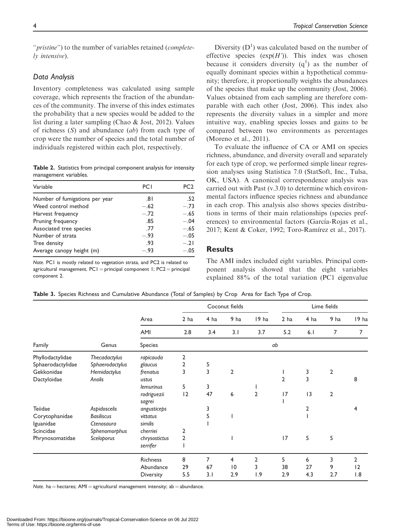"*pristine*") to the number of variables retained (*complete*ly intensive).

#### Data Analysis

Inventory completeness was calculated using sample coverage, which represents the fraction of the abundances of the community. The inverse of this index estimates the probability that a new species would be added to the list during a later sampling (Chao & Jost, 2012). Values of richness  $(S)$  and abundance  $(ab)$  from each type of crop were the number of species and the total number of individuals registered within each plot, respectively.

Table 2. Statistics from principal component analysis for intensity management variables.

| Variable                       | PCI    | PC <sub>2</sub> |
|--------------------------------|--------|-----------------|
| Number of fumigations per year | ا 8.   | .52             |
| Weed control method            | $-.62$ | $-.73$          |
| Harvest frequency              | $-.72$ | $-.65$          |
| Pruning frequency              | .85    | $-.04$          |
| Associated tree species        | .77    | $-.65$          |
| Number of strata               | $-.93$ | $-.05$          |
| Tree density                   | .93    | $-.21$          |
| Average canopy height (m)      | $-.93$ | $-.05$          |

Note. PC1 is mostly related to vegetation strata, and PC2 is related to agricultural management.  $PCI = principal$  component 1;  $PCA = principal$ component 2.

Diversity  $(D<sup>1</sup>)$  was calculated based on the number of effective species  $(\exp(H'))$ . This index was chosen because it considers diversity  $(q<sup>1</sup>)$  as the number of equally dominant species within a hypothetical community; therefore, it proportionally weights the abundances of the species that make up the community (Jost, 2006). Values obtained from each sampling are therefore comparable with each other (Jost, 2006). This index also represents the diversity values in a simpler and more intuitive way, enabling species losses and gains to be compared between two environments as percentages (Moreno et al., 2011).

To evaluate the influence of CA or AMI on species richness, abundance, and diversity overall and separately for each type of crop, we performed simple linear regression analyses using Statistica 7.0 (StatSoft, Inc., Tulsa, OK, USA). A canonical correspondence analysis was carried out with Past (v.3.0) to determine which environmental factors influence species richness and abundance in each crop. This analysis also shows species distributions in terms of their main relationships (species preferences) to environmental factors (García-Rojas et al., 2017; Kent & Coker, 1992; Toro-Ramírez et al., 2017).

## **Results**

The AMI index included eight variables. Principal component analysis showed that the eight variables explained 88% of the total variation (PC1 eigenvalue

Table 3. Species Richness and Cumulative Abundance (Total of Samples) by Crop Area for Each Type of Crop.

| Family            | Genus             |                       | Coconut fields          |                |                 | Lime fields    |                        |                |                |                         |
|-------------------|-------------------|-----------------------|-------------------------|----------------|-----------------|----------------|------------------------|----------------|----------------|-------------------------|
|                   |                   | Area<br>AMI           | 2 <sub>ha</sub><br>2.8  | 4 ha<br>3.4    | 9 ha<br>3.1     | 19 ha<br>3.7   | 2 <sub>ha</sub><br>5.2 | 4 ha<br>6.1    | 9 ha<br>7      | 19 ha<br>$\overline{7}$ |
|                   |                   |                       |                         |                |                 |                |                        |                |                |                         |
|                   |                   | Phyllodactylidae      | Thecadactylus           | rapicauda      | 2               |                |                        |                |                |                         |
| Sphaerodactylidae | Sphaerodactylus   | glaucus               | 2                       | 5              |                 |                |                        |                |                |                         |
| Gekkonidae        | Hemidactylus      | frenatus              | 3                       | $\overline{3}$ | $\mathbf 2$     |                |                        | 3              | $\overline{2}$ |                         |
| Dactyloidae       | Anolis            | ustus                 |                         |                |                 |                | $\overline{2}$         | $\overline{3}$ |                | 8                       |
|                   |                   | lemurinus             | 5                       | 3              |                 |                |                        |                |                |                         |
|                   |                   | rodriguezii<br>sagrei | 12                      | 47             | 6               | $\overline{2}$ | 17                     | 13             | $\overline{2}$ |                         |
| Teiidae           | Aspidoscelis      | angusticeps           |                         | 3              |                 |                |                        | 2              |                |                         |
| Corytophanidae    | <b>Basiliscus</b> | vittatus              |                         | 5              |                 |                |                        |                |                |                         |
| Iguanidae         | Ctenosaura        | similis               |                         |                |                 |                |                        |                |                |                         |
| Scincidae         | Sphenomorphus     | cherriei              | 2                       |                |                 |                |                        |                |                |                         |
| Phrynosomatidae   | Sceloporus        | chrysostictus         | $\overline{\mathbf{c}}$ |                |                 |                | 17                     | 5              | 5              |                         |
|                   |                   | serrifer              |                         |                |                 |                |                        |                |                |                         |
|                   |                   | <b>Richness</b>       | 8                       | 7              | 4               | 2              | 5                      | 6              | 3              | 2                       |
|                   |                   | Abundance             | 29                      | 67             | $\overline{10}$ | 3              | 38                     | 27             | 9              | 12                      |
|                   |                   | <b>Diversity</b>      | 5.5                     | 3.1            | 2.9             | 1.9            | 2.9                    | 4.3            | 2.7            | 1.8                     |

Note. ha  $=$  hectares; AMI  $=$  agricultural management intensity; ab  $=$  abundance.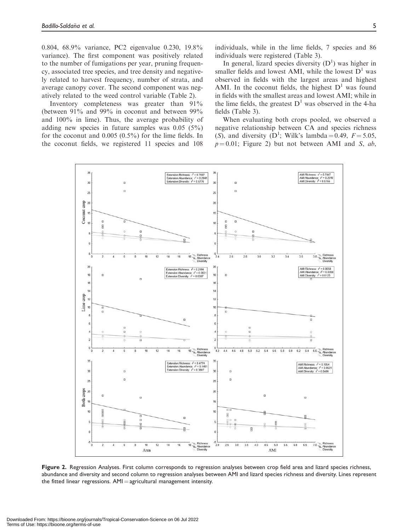0.804, 68.9% variance, PC2 eigenvalue 0.230, 19.8% variance). The first component was positively related to the number of fumigations per year, pruning frequency, associated tree species, and tree density and negatively related to harvest frequency, number of strata, and average canopy cover. The second component was negatively related to the weed control variable (Table 2).

Inventory completeness was greater than 91% (between 91% and 99% in coconut and between 99% and 100% in lime). Thus, the average probability of adding new species in future samples was 0.05 (5%) for the coconut and 0.005 (0.5%) for the lime fields. In the coconut fields, we registered 11 species and 108

individuals, while in the lime fields, 7 species and 86 individuals were registered (Table 3).

In general, lizard species diversity  $(D<sup>1</sup>)$  was higher in smaller fields and lowest AMI, while the lowest  $D<sup>1</sup>$  was observed in fields with the largest areas and highest AMI. In the coconut fields, the highest  $D<sup>1</sup>$  was found in fields with the smallest areas and lowest AMI; while in the lime fields, the greatest  $D<sup>1</sup>$  was observed in the 4-ha fields (Table 3).

When evaluating both crops pooled, we observed a negative relationship between CA and species richness (S), and diversity (D<sup>1</sup>; Wilk's lambda = 0.49,  $F = 5.05$ ,  $p = 0.01$ ; Figure 2) but not between AMI and S, ab,



Figure 2. Regression Analyses. First column corresponds to regression analyses between crop field area and lizard species richness, abundance and diversity and second column to regression analyses between AMI and lizard species richness and diversity. Lines represent the fitted linear regressions.  $AMI =$  agricultural management intensity.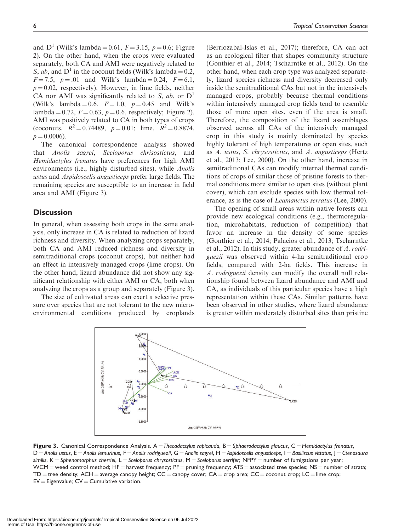and  $D^1$  (Wilk's lambda = 0.61,  $F = 3.15$ ,  $p = 0.6$ ; Figure 2). On the other hand, when the crops were evaluated separately, both CA and AMI were negatively related to S, ab, and  $D^1$  in the coconut fields (Wilk's lambda = 0.2,

 $F = 7.5$ ,  $p = .01$  and Wilk's lambda = 0.24,  $F = 6.1$ ,  $p = 0.02$ , respectively). However, in lime fields, neither CA nor AMI was significantly related to S, ab, or  $D<sup>1</sup>$ (Wilk's lambda = 0.6,  $F = 1.0$ ,  $p = 0.45$  and Wilk's lambda = 0.72,  $F = 0.63$ ,  $p = 0.6$ , respectively; Figure 2). AMI was positively related to CA in both types of crops (coconuts,  $R^2 = 0.74489$ ,  $p = 0.01$ ; lime,  $R^2 = 0.8874$ ,  $p = 0.0006$ ).

The canonical correspondence analysis showed that Anolis sagrei, Sceloporus chrisostictus, and Hemidactylus frenatus have preferences for high AMI environments (i.e., highly disturbed sites), while Anolis ustus and Aspidoscelis angusticeps prefer large fields. The remaining species are susceptible to an increase in field area and AMI (Figure 3).

#### **Discussion**

In general, when assessing both crops in the same analysis, only increase in CA is related to reduction of lizard richness and diversity. When analyzing crops separately, both CA and AMI reduced richness and diversity in semitraditional crops (coconut crops), but neither had an effect in intensively managed crops (lime crops). On the other hand, lizard abundance did not show any significant relationship with either AMI or CA, both when analyzing the crops as a group and separately (Figure 3).

The size of cultivated areas can exert a selective pressure over species that are not tolerant to the new microenvironmental conditions produced by croplands (Berriozabal-Islas et al., 2017); therefore, CA can act as an ecological filter that shapes community structure (Gonthier et al., 2014; Tscharntke et al., 2012). On the other hand, when each crop type was analyzed separately, lizard species richness and diversity decreased only inside the semitraditional CAs but not in the intensively managed crops, probably because thermal conditions within intensively managed crop fields tend to resemble those of more open sites, even if the area is small. Therefore, the composition of the lizard assemblages observed across all CAs of the intensively managed crop in this study is mainly dominated by species highly tolerant of high temperatures or open sites, such as A. ustus, S. chrysostictus, and A. angusticeps (Hertz et al., 2013; Lee, 2000). On the other hand, increase in semitraditional CAs can modify internal thermal conditions of crops of similar those of pristine forests to thermal conditions more similar to open sites (without plant cover), which can exclude species with low thermal tolerance, as is the case of Leamanctus serratus (Lee, 2000).

The opening of small areas within native forests can provide new ecological conditions (e.g., thermoregulation, microhabitats, reduction of competition) that favor an increase in the density of some species (Gonthier et al., 2014; Palacios et al., 2013; Tscharntke et al., 2012). In this study, greater abundance of A. rodriguezii was observed within 4-ha semitraditional crop fields, compared with 2-ha fields. This increase in A. rodriguezii density can modify the overall null relationship found between lizard abundance and AMI and CA, as individuals of this particular species have a high representation within these CAs. Similar patterns have been observed in other studies, where lizard abundance is greater within moderately disturbed sites than pristine



Figure 3. Canonical Correspondence Analysis. A = Thecadactylus rapicauda, B = Sphaerodactylus glaucus, C = Hemidactylus frenatus,  $D =$  Anolis ustus, E  $=$  Anolis lemurinus, F  $=$  Anolis rodriguezii, G  $=$  Anolis sagrei, H  $=$  Aspidoscelis angusticeps, I  $=$  Basiliscus vittatus, J  $=$  Ctenosaura similis, K = Sphenomorphus cherriei, L = Sceloporus chrysostictus, M = Sceloporus serrifer; NFPY = number of fumigations per year; WCM = weed control method; HF = harvest frequency; PF = pruning frequency; ATS = associated tree species; NS = number of strata;  $TD =$  tree density; ACH = average canopy height;  $CC =$  canopy cover;  $CA =$  crop area;  $CC =$  coconut crop;  $LC =$  lime crop;  $EV = Eigenvalue$ ;  $CV = Cumulative variation$ .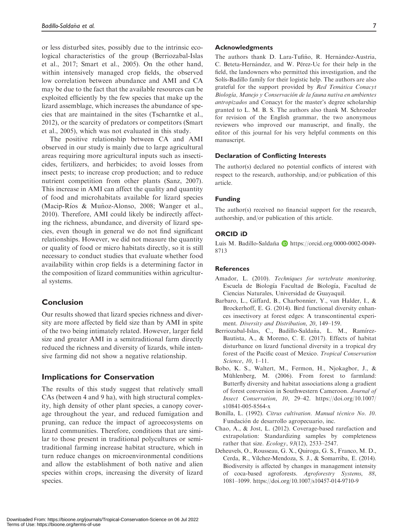or less disturbed sites, possibly due to the intrinsic ecological characteristics of the group (Berriozabal-Islas et al., 2017; Smart et al., 2005). On the other hand, within intensively managed crop fields, the observed low correlation between abundance and AMI and CA may be due to the fact that the available resources can be exploited efficiently by the few species that make up the lizard assemblage, which increases the abundance of species that are maintained in the sites (Tscharntke et al., 2012), or the scarcity of predators or competitors (Smart et al., 2005), which was not evaluated in this study.

The positive relationship between CA and AMI observed in our study is mainly due to large agricultural areas requiring more agricultural inputs such as insecticides, fertilizers, and herbicides; to avoid losses from insect pests; to increase crop production; and to reduce nutrient competition from other plants (Sanz, 2007). This increase in AMI can affect the quality and quantity of food and microhabitats available for lizard species (Macip-Ríos & Muñoz-Alonso, 2008; Wanger et al., 2010). Therefore, AMI could likely be indirectly affecting the richness, abundance, and diversity of lizard species, even though in general we do not find significant relationships. However, we did not measure the quantity or quality of food or micro habitats directly, so it is still necessary to conduct studies that evaluate whether food availability within crop fields is a determining factor in the composition of lizard communities within agricultural systems.

## Conclusion

Our results showed that lizard species richness and diversity are more affected by field size than by AMI in spite of the two being intimately related. However, larger field size and greater AMI in a semitraditional farm directly reduced the richness and diversity of lizards, while intensive farming did not show a negative relationship.

## Implications for Conservation

The results of this study suggest that relatively small CAs (between 4 and 9 ha), with high structural complexity, high density of other plant species, a canopy coverage throughout the year, and reduced fumigation and pruning, can reduce the impact of agroecosystems on lizard communities. Therefore, conditions that are similar to those present in traditional polycultures or semitraditional farming increase habitat structure, which in turn reduce changes on microenvironmental conditions and allow the establishment of both native and alien species within crops, increasing the diversity of lizard species.

#### Acknowledgments

The authors thank D. Lara-Tufiño, R. Hernández-Austria, C. Beteta-Hernández, and W. Pérez-Uc for their help in the field, the landowners who permitted this investigation, and the Solís-Badillo family for their logistic help. The authors are also grateful for the support provided by Red Temática Conacyt Biología, Manejo y Conservación de la fauna nativa en ambientes antropizados and Conacyt for the master's degree scholarship granted to L. M. B. S. The authors also thank M. Schroeder for revision of the English grammar, the two anonymous reviewers who improved our manuscript, and finally, the editor of this journal for his very helpful comments on this manuscript.

## Declaration of Conflicting Interests

The author(s) declared no potential conflicts of interest with respect to the research, authorship, and/or publication of this article.

## Funding

The author(s) received no financial support for the research, authorship, and/or publication of this article.

## ORCID iD

Luis M. Badillo-Saldaña D [https://orcid.org/0000-0002-0049-](https://orcid.org/0000-0002-0049-8713) [8713](https://orcid.org/0000-0002-0049-8713)

## **References**

- Amador, L. (2010). Techniques for vertebrate monitoring. Escuela de Biología Facultad de Biología, Facultad de Ciencias Naturales, Universidad de Guayaquil.
- Barbaro, L., Giffard, B., Charbonnier, Y., van Halder, I., & Brockerhoff, E. G. (2014). Bird functional diversity enhances insectivory at forest edges: A transcontinental experiment. Diversity and Distribution, 20, 149–159.
- Berriozabal-Islas, C., Badillo-Saldaña, L. M., Ramírez-Bautista, A., & Moreno, C. E. (2017). Effects of habitat disturbance on lizard functional diversity in a tropical dry forest of the Pacific coast of Mexico. Tropical Conservation Science, 10, 1–11.
- Bobo, K. S., Waltert, M., Fermon, H., Njokagbor, J., & Mühlenberg, M. (2006). From forest to farmland: Butterfly diversity and habitat associations along a gradient of forest conversion in Southwestern Cameroon. Journal of Insect Conservation, 10, 29–42. [https://doi.org/10.1007/](https://doi.org/10.1007/s10841-005-8564-x) [s10841-005-8564-x](https://doi.org/10.1007/s10841-005-8564-x)
- Bonilla, L. (1992). Citrus cultivation. Manual técnico No. 10. Fundación de desarrollo agropecuario, inc.
- Chao, A., & Jost, L. (2012). Coverage-based rarefaction and extrapolation: Standardizing samples by completeness rather that size. Ecology, 93(12), 2533–2547.
- Deheuvels, O., Rousseau, G. X., Quiroga, G. S., Franco, M. D., Cerda, R., Vílchez-Mendoza, S. J., & Somarriba, E. (2014). Biodiversity is affected by changes in management intensity of coca-based agroforests. Agroforestry Systems, 88, 1081–1099.<https://doi.org/10.1007/s10457-014-9710-9>